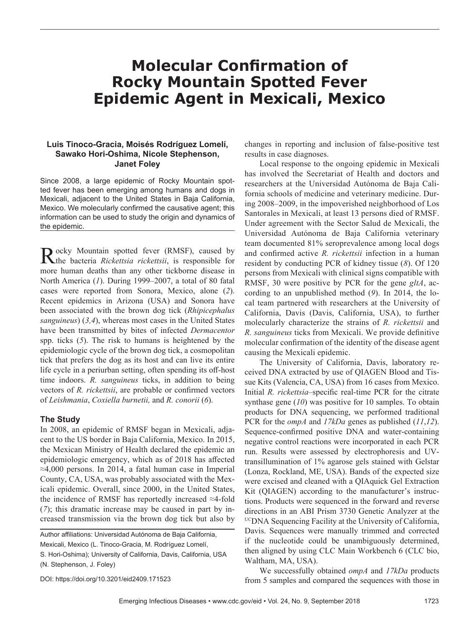# **Molecular Confirmation of Rocky Mountain Spotted Fever Epidemic Agent in Mexicali, Mexico**

#### **Luis Tinoco-Gracia, Moisés Rodríguez Lomelí, Sawako Hori-Oshima, Nicole Stephenson, Janet Foley**

Since 2008, a large epidemic of Rocky Mountain spotted fever has been emerging among humans and dogs in Mexicali, adjacent to the United States in Baja California, Mexico. We molecularly confirmed the causative agent; this information can be used to study the origin and dynamics of the epidemic.

Rocky Mountain spotted fever (RMSF), caused by the bacteria *Rickettsia rickettsii*, is responsible for more human deaths than any other tickborne disease in North America (*1*). During 1999–2007, a total of 80 fatal cases were reported from Sonora, Mexico, alone (*2*). Recent epidemics in Arizona (USA) and Sonora have been associated with the brown dog tick (*Rhipicephalus sanguineus*) (*3,4*), whereas most cases in the United States have been transmitted by bites of infected *Dermacentor* spp. ticks (*5*). The risk to humans is heightened by the epidemiologic cycle of the brown dog tick, a cosmopolitan tick that prefers the dog as its host and can live its entire life cycle in a periurban setting, often spending its off-host time indoors. *R. sanguineus* ticks, in addition to being vectors of *R. rickettsii*, are probable or confirmed vectors of *Leishmania*, *Coxiella burnetii,* and *R. conorii* (*6*).

#### **The Study**

In 2008, an epidemic of RMSF began in Mexicali, adjacent to the US border in Baja California, Mexico. In 2015, the Mexican Ministry of Health declared the epidemic an epidemiologic emergency, which as of 2018 has affected  $\approx$ 4,000 persons. In 2014, a fatal human case in Imperial County, CA, USA, was probably associated with the Mexicali epidemic. Overall, since 2000, in the United States, the incidence of RMSF has reportedly increased ≈4-fold (*7*); this dramatic increase may be caused in part by increased transmission via the brown dog tick but also by

DOI: https://doi.org/10.3201/eid2409.171523

changes in reporting and inclusion of false-positive test results in case diagnoses.

Local response to the ongoing epidemic in Mexicali has involved the Secretariat of Health and doctors and researchers at the Universidad Autónoma de Baja California schools of medicine and veterinary medicine. During 2008–2009, in the impoverished neighborhood of Los Santorales in Mexicali, at least 13 persons died of RMSF. Under agreement with the Sector Salud de Mexicali, the Universidad Autónoma de Baja California veterinary team documented 81% seroprevalence among local dogs and confirmed active *R. rickettsii* infection in a human resident by conducting PCR of kidney tissue (*8*). Of 120 persons from Mexicali with clinical signs compatible with RMSF, 30 were positive by PCR for the gene *gltA*, according to an unpublished method (*9*). In 2014, the local team partnered with researchers at the University of California, Davis (Davis, California, USA), to further molecularly characterize the strains of *R. rickettsii* and *R. sanguineus* ticks from Mexicali. We provide definitive molecular confirmation of the identity of the disease agent causing the Mexicali epidemic.

The University of California, Davis, laboratory received DNA extracted by use of QIAGEN Blood and Tissue Kits (Valencia, CA, USA) from 16 cases from Mexico. Initial *R. rickettsia–*specific real-time PCR for the citrate synthase gene (*10*) was positive for 10 samples. To obtain products for DNA sequencing, we performed traditional PCR for the *ompA* and *17kDa* genes as published (*11*,*12*). Sequence-confirmed positive DNA and water-containing negative control reactions were incorporated in each PCR run. Results were assessed by electrophoresis and UVtransillumination of 1% agarose gels stained with Gelstar (Lonza, Rockland, ME, USA). Bands of the expected size were excised and cleaned with a QIAquick Gel Extraction Kit (QIAGEN) according to the manufacturer's instructions. Products were sequenced in the forward and reverse directions in an ABI Prism 3730 Genetic Analyzer at the UCDNA Sequencing Facility at the University of California, Davis. Sequences were manually trimmed and corrected if the nucleotide could be unambiguously determined, then aligned by using CLC Main Workbench 6 (CLC bio, Waltham, MA, USA).

We successfully obtained *ompA* and *17kDa* products from 5 samples and compared the sequences with those in

Author affiliations: Universidad Autónoma de Baja California,

Mexicali, Mexico (L. Tinoco-Gracia, M. Rodríguez Lomelí,

S. Hori-Oshima); University of California, Davis, California, USA (N. Stephenson, J. Foley)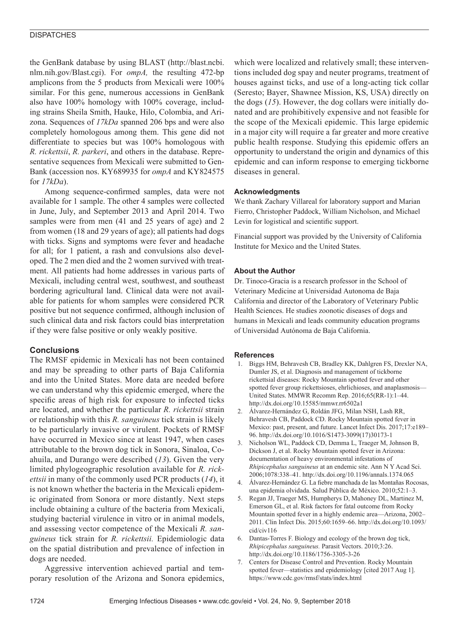#### **DISPATCHES**

the GenBank database by using BLAST (http://blast.ncbi. nlm.nih.gov/Blast.cgi). For *ompA,* the resulting 472-bp amplicons from the 5 products from Mexicali were 100% similar. For this gene, numerous accessions in GenBank also have 100% homology with 100% coverage, including strains Sheila Smith, Hauke, Hilo, Colombia, and Arizona. Sequences of *17kDa* spanned 206 bps and were also completely homologous among them. This gene did not differentiate to species but was 100% homologous with *R. rickettsii*, *R. parkeri*, and others in the database. Representative sequences from Mexicali were submitted to Gen-Bank (accession nos. KY689935 for *ompA* and KY824575 for *17kDa*).

Among sequence-confirmed samples, data were not available for 1 sample. The other 4 samples were collected in June, July, and September 2013 and April 2014. Two samples were from men (41 and 25 years of age) and 2 from women (18 and 29 years of age); all patients had dogs with ticks. Signs and symptoms were fever and headache for all; for 1 patient, a rash and convulsions also developed. The 2 men died and the 2 women survived with treatment. All patients had home addresses in various parts of Mexicali, including central west, southwest, and southeast bordering agricultural land. Clinical data were not available for patients for whom samples were considered PCR positive but not sequence confirmed, although inclusion of such clinical data and risk factors could bias interpretation if they were false positive or only weakly positive.

### **Conclusions**

The RMSF epidemic in Mexicali has not been contained and may be spreading to other parts of Baja California and into the United States. More data are needed before we can understand why this epidemic emerged, where the specific areas of high risk for exposure to infected ticks are located, and whether the particular *R. rickettsii* strain or relationship with this *R. sanguineus* tick strain is likely to be particularly invasive or virulent. Pockets of RMSF have occurred in Mexico since at least 1947, when cases attributable to the brown dog tick in Sonora, Sinaloa, Coahuila, and Durango were described (*13*). Given the very limited phylogeographic resolution available for *R. rickettsii* in many of the commonly used PCR products (*14*), it is not known whether the bacteria in the Mexicali epidemic originated from Sonora or more distantly. Next steps include obtaining a culture of the bacteria from Mexicali, studying bacterial virulence in vitro or in animal models, and assessing vector competence of the Mexicali *R. sanguineus* tick strain for *R. rickettsii.* Epidemiologic data on the spatial distribution and prevalence of infection in dogs are needed.

Aggressive intervention achieved partial and temporary resolution of the Arizona and Sonora epidemics,

which were localized and relatively small; these interventions included dog spay and neuter programs, treatment of houses against ticks, and use of a long-acting tick collar (Seresto; Bayer, Shawnee Mission, KS, USA) directly on the dogs (*15*). However, the dog collars were initially donated and are prohibitively expensive and not feasible for the scope of the Mexicali epidemic. This large epidemic in a major city will require a far greater and more creative public health response. Studying this epidemic offers an opportunity to understand the origin and dynamics of this epidemic and can inform response to emerging tickborne diseases in general.

#### **Acknowledgments**

We thank Zachary Villareal for laboratory support and Marian Fierro, Christopher Paddock, William Nicholson, and Michael Levin for logistical and scientific support.

Financial support was provided by the University of California Institute for Mexico and the United States.

### **About the Author**

Dr. Tinoco-Gracia is a research professor in the School of Veterinary Medicine at Universidad Autonoma de Baja California and director of the Laboratory of Veterinary Public Health Sciences. He studies zoonotic diseases of dogs and humans in Mexicali and leads community education programs of Universidad Autónoma de Baja California.

#### **References**

- 1. Biggs HM, Behravesh CB, Bradley KK, Dahlgren FS, Drexler NA, Dumler JS, et al. Diagnosis and management of tickborne rickettsial diseases: Rocky Mountain spotted fever and other spotted fever group rickettsioses, ehrlichioses, and anaplasmosis— United States. MMWR Recomm Rep. 2016;65(RR-1):1–44. http://dx.doi.org/10.15585/mmwr.rr6502a1
- 2. Álvarez-Hernández G, Roldán JFG, Milan NSH, Lash RR, Behravesh CB, Paddock CD. Rocky Mountain spotted fever in Mexico: past, present, and future. Lancet Infect Dis. 2017;17:e189– 96. http://dx.doi.org/10.1016/S1473-3099(17)30173-1
- 3. Nicholson WL, Paddock CD, Demma L, Traeger M, Johnson B, Dickson J, et al. Rocky Mountain spotted fever in Arizona: documentation of heavy environmental infestations of *Rhipicephalus sanguineus* at an endemic site. Ann N Y Acad Sci. 2006;1078:338–41. http://dx.doi.org/10.1196/annals.1374.065
- 4. Álvarez-Hernández G. La fiebre manchada de las Montañas Rocosas, una epidemia olvidada. Salud Pública de México. 2010;52:1–3.
- 5. Regan JJ, Traeger MS, Humpherys D, Mahoney DL, Martinez M, Emerson GL, et al. Risk factors for fatal outcome from Rocky Mountain spotted fever in a highly endemic area—Arizona, 2002– 2011. Clin Infect Dis. 2015;60:1659–66. http://dx.doi.org/10.1093/ cid/civ116
- 6. Dantas-Torres F. Biology and ecology of the brown dog tick, *Rhipicephalus sanguineus.* Parasit Vectors. 2010;3:26. http://dx.doi.org/10.1186/1756-3305-3-26
- Centers for Disease Control and Prevention. Rocky Mountain spotted fever—statistics and epidemiology [cited 2017 Aug 1]. https://www.cdc.gov/rmsf/stats/index.html